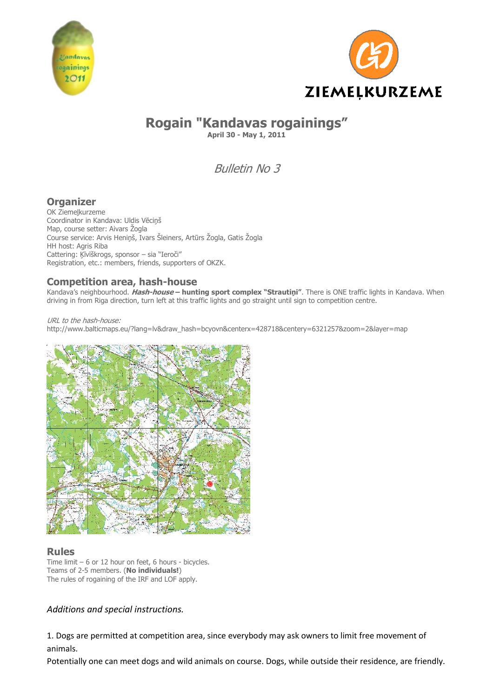



# **Rogain "Kandavas rogainings"**

**April 30 - May 1, 2011**

Bulletin No 3

# **Organizer**

OK Ziemeļkurzeme Coordinator in Kandava: Uldis Vēciņš Map, course setter: Aivars Žogla Course service: Arvis Heniņš, Ivars Šleiners, Artūrs Žogla, Gatis Žogla HH host: Agris Riba Cattering: Ķīvīškrogs, sponsor – sia "Ieroči" Registration, etc.: members, friends, supporters of OKZK.

# **Competition area, hash-house**

Kandava's neighbourhood. **Hash-house – hunting sport complex "Strautiņi"**. There is ONE traffic lights in Kandava. When driving in from Riga direction, turn left at this traffic lights and go straight until sign to competition centre.

URL to the hash-house: http://www.balticmaps.eu/?lang=lv&draw\_hash=bcyovn&centerx=428718&centery=6321257&zoom=2&layer=map



# **Rules**

Time limit – 6 or 12 hour on feet, 6 hours - bicycles. Teams of 2-5 members. (**No individuals!**) The rules of rogaining of the IRF and LOF apply.

# *Additions and special instructions.*

1. Dogs are permitted at competition area, since everybody may ask owners to limit free movement of animals.

Potentially one can meet dogs and wild animals on course. Dogs, while outside their residence, are friendly.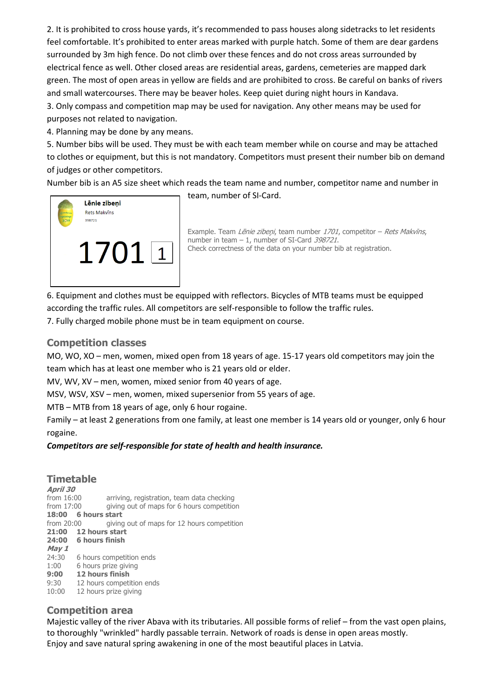2. It is prohibited to cross house yards, it's recommended to pass houses along sidetracks to let residents feel comfortable. It's prohibited to enter areas marked with purple hatch. Some of them are dear gardens surrounded by 3m high fence. Do not climb over these fences and do not cross areas surrounded by electrical fence as well. Other closed areas are residential areas, gardens, cemeteries are mapped dark green. The most of open areas in yellow are fields and are prohibited to cross. Be careful on banks of rivers and small watercourses. There may be beaver holes. Keep quiet during night hours in Kandava. 3. Only compass and competition map may be used for navigation. Any other means may be used for purposes not related to navigation.

4. Planning may be done by any means.

5. Number bibs will be used. They must be with each team member while on course and may be attached to clothes or equipment, but this is not mandatory. Competitors must present their number bib on demand of judges or other competitors.

Number bib is an A5 size sheet which reads the team name and number, competitor name and number in



team, number of SI‐Card.

Example. Team Lēnie zibeņi, team number 1701, competitor - Rets Makvīns, number in team – 1, number of SI-Card 398721. Check correctness of the data on your number bib at registration.

6. Equipment and clothes must be equipped with reflectors. Bicycles of MTB teams must be equipped according the traffic rules. All competitors are self‐responsible to follow the traffic rules.

7. Fully charged mobile phone must be in team equipment on course.

#### **Competition classes**

MO, WO, XO – men, women, mixed open from 18 years of age. 15‐17 years old competitors may join the team which has at least one member who is 21 years old or elder.

MV, WV, XV – men, women, mixed senior from 40 years of age.

MSV, WSV, XSV – men, women, mixed supersenior from 55 years of age.

MTB – MTB from 18 years of age, only 6 hour rogaine.

Family – at least 2 generations from one family, at least one member is 14 years old or younger, only 6 hour rogaine.

#### *Competitors are self‐responsible for state of health and health insurance.*

#### **Timetable**

**April 30**  from 16:00 arriving, registration, team data checking from 17:00 giving out of maps for 6 hours competition **18:00 6 hours start**  from 20:00 giving out of maps for 12 hours competition **21:00 12 hours start 24:00 6 hours finish May 1**  24:30 6 hours competition ends 1:00 6 hours prize giving **9:00 12 hours finish**  9:30 12 hours competition ends 10:00 12 hours prize giving

# **Competition area**

Majestic valley of the river Abava with its tributaries. All possible forms of relief – from the vast open plains, to thoroughly "wrinkled" hardly passable terrain. Network of roads is dense in open areas mostly. Enjoy and save natural spring awakening in one of the most beautiful places in Latvia.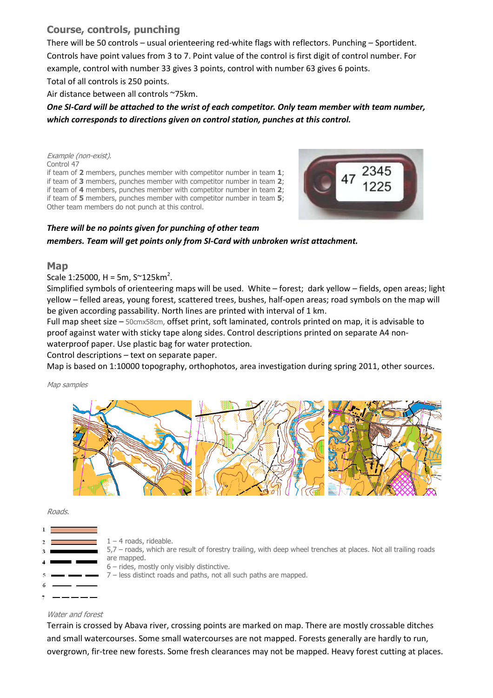# **Course, controls, punching**

There will be 50 controls – usual orienteering red-white flags with reflectors. Punching – Sportident. Controls have point values from 3 to 7. Point value of the control is first digit of control number. For example, control with number 33 gives 3 points, control with number 63 gives 6 points. Total of all controls is 250 points.

Air distance between all controls ~75km.

## One SI-Card will be attached to the wrist of each competitor. Only team member with team number, *which corresponds to directions given on control station, punches at this control.*

Example (non-exist). Control 47 if team of **2** members, punches member with competitor number in team **1**; if team of **3** members, punches member with competitor number in team **2**; if team of **4** members, punches member with competitor number in team **2**; if team of **5** members, punches member with competitor number in team **5**; Other team members do not punch at this control.



## *There will be no points given for punching of other team members. Team will get points only from SI‐Card with unbroken wrist attachment.*

#### **Map**

Scale 1:25000, H = 5m, S~125km<sup>2</sup>.

Simplified symbols of orienteering maps will be used. White – forest; dark yellow – fields, open areas; light yellow – felled areas, young forest, scattered trees, bushes, half‐open areas; road symbols on the map will be given according passability. North lines are printed with interval of 1 km.

Full map sheet size – 50cmx58cm, offset print, soft laminated, controls printed on map, it is advisable to proof against water with sticky tape along sides. Control descriptions printed on separate A4 non‐ waterproof paper. Use plastic bag for water protection.

#### Control descriptions – text on separate paper.

Map is based on 1:10000 topography, orthophotos, area investigation during spring 2011, other sources.

Map samples



Roads.

|  | $1 - 4$ roads, rideable.                                                                                       |
|--|----------------------------------------------------------------------------------------------------------------|
|  | 5,7 - roads, which are result of forestry trailing, with deep wheel trenches at places. Not all trailing roads |
|  | are mapped.<br>$6$ – rides, mostly only visibly distinctive.                                                   |
|  | 7 – less distinct roads and paths, not all such paths are mapped.                                              |
|  |                                                                                                                |
|  |                                                                                                                |

#### Water and forest

Terrain is crossed by Abava river, crossing points are marked on map. There are mostly crossable ditches and small watercourses. Some small watercourses are not mapped. Forests generally are hardly to run, overgrown, fir-tree new forests. Some fresh clearances may not be mapped. Heavy forest cutting at places.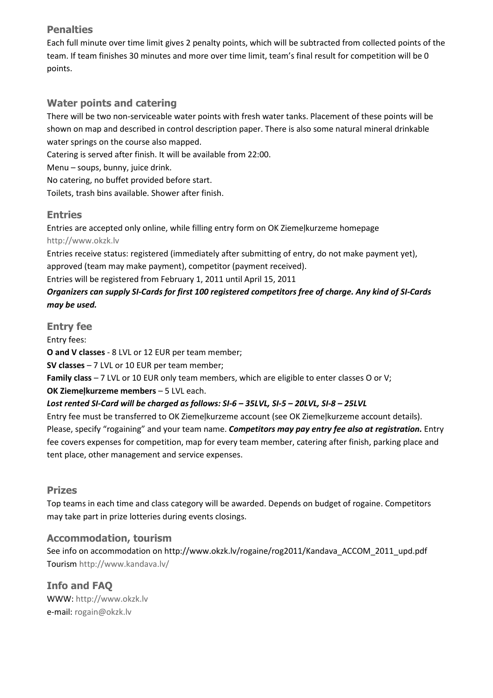# **Penalties**

Each full minute over time limit gives 2 penalty points, which will be subtracted from collected points of the team. If team finishes 30 minutes and more over time limit, team's final result for competition will be 0 points.

# **Water points and catering**

There will be two non‐serviceable water points with fresh water tanks. Placement of these points will be shown on map and described in control description paper. There is also some natural mineral drinkable water springs on the course also mapped.

Catering is served after finish. It will be available from 22:00.

Menu – soups, bunny, juice drink.

No catering, no buffet provided before start.

Toilets, trash bins available. Shower after finish.

# **Entries**

Entries are accepted only online, while filling entry form on OK Ziemeļkurzeme homepage http://www.okzk.lv

Entries receive status: registered (immediately after submitting of entry, do not make payment yet), approved (team may make payment), competitor (payment received).

Entries will be registered from February 1, 2011 until April 15, 2011

# Organizers can supply SI-Cards for first 100 registered competitors free of charge. Any kind of SI-Cards *may be used.*

**Entry fee** 

Entry fees:

**O and V classes** ‐ 8 LVL or 12 EUR per team member;

**SV classes** – 7 LVL or 10 EUR per team member;

**Family class** – 7 LVL or 10 EUR only team members, which are eligible to enter classes O or V;

**OK Ziemeļkurzeme members** – 5 LVL each.

# Lost rented SI-Card will be charged as follows: SI-6 - 35LVL, SI-5 - 20LVL, SI-8 - 25LVL

Entry fee must be transferred to OK Ziemeļkurzeme account (see OK Ziemeļkurzeme account details). Please, specify "rogaining" and your team name. *Competitors may pay entry fee also at registration.* Entry fee covers expenses for competition, map for every team member, catering after finish, parking place and tent place, other management and service expenses.

# **Prizes**

Top teams in each time and class category will be awarded. Depends on budget of rogaine. Competitors may take part in prize lotteries during events closings.

# **Accommodation, tourism**

See info on accommodation on http://www.okzk.lv/rogaine/rog2011/Kandava\_ACCOM\_2011\_upd.pdf Tourism http://www.kandava.lv/

**Info and FAQ**  WWW: http://www.okzk.lv e‐mail: rogain@okzk.lv